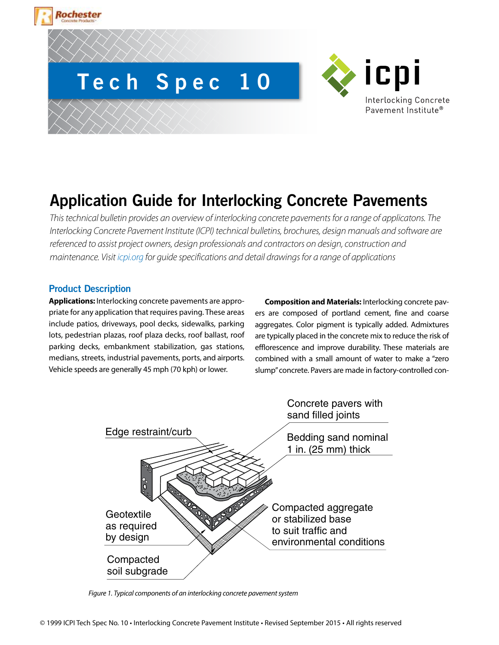# **Tech Spec 10**



## **Application Guide for Interlocking Concrete Pavements**

*This technical bulletin provides an overview of interlocking concrete pavements for a range of applicatons. The Interlocking Concrete Pavement Institute (ICPI) technical bulletins, brochures, design manuals and software are referenced to assist project owners, design professionals and contractors on design, construction and maintenance. Visit icpi.org for guide specifications and detail drawings for a range of applications*

### **Product Description**

**lochester** 

**Applications:** Interlocking concrete pavements are appropriate for any application that requires paving. These areas include patios, driveways, pool decks, sidewalks, parking lots, pedestrian plazas, roof plaza decks, roof ballast, roof parking decks, embankment stabilization, gas stations, medians, streets, industrial pavements, ports, and airports. Vehicle speeds are generally 45 mph (70 kph) or lower.

**Composition and Materials:** Interlocking concrete pavers are composed of portland cement, fine and coarse aggregates. Color pigment is typically added. Admixtures are typically placed in the concrete mix to reduce the risk of efflorescence and improve durability. These materials are combined with a small amount of water to make a "zero slump" concrete. Pavers are made in factory-controlled con-



*Figure 1. Typical components of an interlocking concrete pavement system*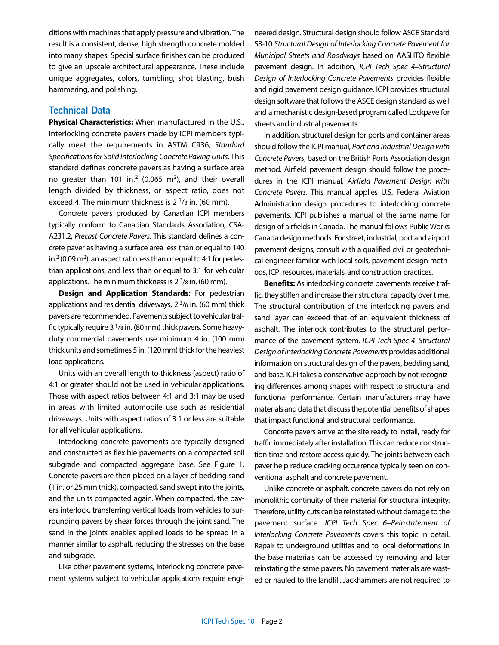ditions with machines that apply pressure and vibration. The result is a consistent, dense, high strength concrete molded into many shapes. Special surface finishes can be produced to give an upscale architectural appearance. These include unique aggregates, colors, tumbling, shot blasting, bush hammering, and polishing.

#### **Technical Data**

**Physical Characteristics:** When manufactured in the U.S., interlocking concrete pavers made by ICPI members typically meet the requirements in ASTM C936, *Standard Specifications for Solid Interlocking Concrete Paving Units*. This standard defines concrete pavers as having a surface area no greater than 101 in.<sup>2</sup> (0.065 m<sup>2</sup>), and their overall length divided by thickness, or aspect ratio, does not exceed 4. The minimum thickness is  $2^{3}/8$  in. (60 mm).

Concrete pavers produced by Canadian ICPI members typically conform to Canadian Standards Association, CSA-A231.2, *Precast Concrete Pavers*. This standard defines a concrete paver as having a surface area less than or equal to 140 in.<sup>2</sup> (0.09 m<sup>2</sup>), an aspect ratio less than or equal to 4:1 for pedestrian applications, and less than or equal to 3:1 for vehicular applications. The minimum thickness is  $2^{3}/8$  in. (60 mm).

**Design and Application Standards:** For pedestrian applications and residential driveways,  $2 \frac{3}{8}$  in. (60 mm) thick pavers are recommended. Pavements subject to vehicular traffic typically require  $3<sup>1</sup>/8$  in. (80 mm) thick pavers. Some heavyduty commercial pavements use minimum 4 in. (100 mm) thick units and sometimes 5 in. (120 mm) thick for the heaviest load applications.

Units with an overall length to thickness (aspect) ratio of 4:1 or greater should not be used in vehicular applications. Those with aspect ratios between 4:1 and 3:1 may be used in areas with limited automobile use such as residential driveways. Units with aspect ratios of 3:1 or less are suitable for all vehicular applications.

Interlocking concrete pavements are typically designed and constructed as flexible pavements on a compacted soil subgrade and compacted aggregate base. See Figure 1. Concrete pavers are then placed on a layer of bedding sand (1 in. or 25 mm thick), compacted, sand swept into the joints, and the units compacted again. When compacted, the pavers interlock, transferring vertical loads from vehicles to surrounding pavers by shear forces through the joint sand. The sand in the joints enables applied loads to be spread in a manner similar to asphalt, reducing the stresses on the base and subgrade.

Like other pavement systems, interlocking concrete pavement systems subject to vehicular applications require engineered design. Structural design should follow ASCE Standard 58-10 *Structural Design of Interlocking Concrete Pavement for Municipal Streets and Roadways* based on AASHTO flexible pavement design. In addition, *ICPI Tech Spec 4–Structural Design of Interlocking Concrete Pavements* provides flexible and rigid pavement design guidance. ICPI provides structural design software that follows the ASCE design standard as well and a mechanistic design-based program called Lockpave for streets and industrial pavements.

In addition, structural design for ports and container areas should follow the ICPI manual, *Port and Industrial Design with Concrete Pavers*, based on the British Ports Association design method. Airfield pavement design should follow the procedures in the ICPI manual, *Airfield Pavement Design with Concrete Pavers*. This manual applies U.S. Federal Aviation Administration design procedures to interlocking concrete pavements. ICPI publishes a manual of the same name for design of airfields in Canada. The manual follows Public Works Canada design methods. For street, industrial, port and airport pavement designs, consult with a qualified civil or geotechnical engineer familiar with local soils, pavement design methods, ICPI resources, materials, and construction practices.

**Benefits:** As interlocking concrete pavements receive traffic, they stiffen and increase their structural capacity over time. The structural contribution of the interlocking pavers and sand layer can exceed that of an equivalent thickness of asphalt. The interlock contributes to the structural performance of the pavement system. *ICPI Tech Spec 4–Structural Design of Interlocking Concrete Pavements* provides additional information on structural design of the pavers, bedding sand, and base. ICPI takes a conservative approach by not recognizing differences among shapes with respect to structural and functional performance. Certain manufacturers may have materials and data that discuss the potential benefits of shapes that impact functional and structural performance.

Concrete pavers arrive at the site ready to install, ready for traffic immediately after installation. This can reduce construction time and restore access quickly. The joints between each paver help reduce cracking occurrence typically seen on conventional asphalt and concrete pavement.

Unlike concrete or asphalt, concrete pavers do not rely on monolithic continuity of their material for structural integrity. Therefore, utility cuts can be reinstated without damage to the pavement surface. *ICPI Tech Spec 6–Reinstatement of Interlocking Concrete Pavements* covers this topic in detail. Repair to underground utilities and to local deformations in the base materials can be accessed by removing and later reinstating the same pavers. No pavement materials are wasted or hauled to the landfill. Jackhammers are not required to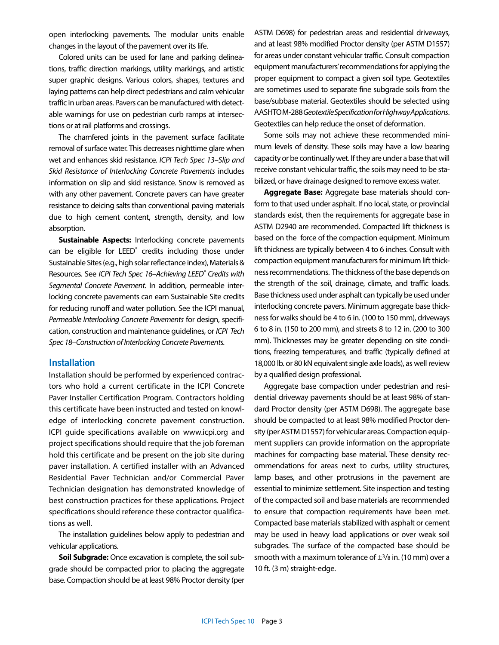open interlocking pavements. The modular units enable changes in the layout of the pavement over its life.

Colored units can be used for lane and parking delineations, traffic direction markings, utility markings, and artistic super graphic designs. Various colors, shapes, textures and laying patterns can help direct pedestrians and calm vehicular traffic in urban areas. Pavers can be manufactured with detectable warnings for use on pedestrian curb ramps at intersections or at rail platforms and crossings.

The chamfered joints in the pavement surface facilitate removal of surface water. This decreases nighttime glare when wet and enhances skid resistance. *ICPI Tech Spec 13–Slip and Skid Resistance of Interlocking Concrete Pavements* includes information on slip and skid resistance. Snow is removed as with any other pavement. Concrete pavers can have greater resistance to deicing salts than conventional paving materials due to high cement content, strength, density, and low absorption.

**Sustainable Aspects:** Interlocking concrete pavements can be eligible for LEED<sup>®</sup> credits including those under Sustainable Sites (e.g., high solar reflectance index), Materials & Resources. See *ICPI Tech Spec 16–Achieving LEED® Credits with Segmental Concrete Pavement*. In addition, permeable interlocking concrete pavements can earn Sustainable Site credits for reducing runoff and water pollution. See the ICPI manual, *Permeable Interlocking Concrete Pavements* for design, specification, construction and maintenance guidelines, or *ICPI Tech Spec 18–Construction of Interlocking Concrete Pavements.*

#### **Installation**

Installation should be performed by experienced contractors who hold a current certificate in the ICPI Concrete Paver Installer Certification Program. Contractors holding this certificate have been instructed and tested on knowledge of interlocking concrete pavement construction. ICPI guide specifications available on www.icpi.org and project specifications should require that the job foreman hold this certificate and be present on the job site during paver installation. A certified installer with an Advanced Residential Paver Technician and/or Commercial Paver Technician designation has demonstrated knowledge of best construction practices for these applications. Project specifications should reference these contractor qualifications as well.

The installation guidelines below apply to pedestrian and vehicular applications.

**Soil Subgrade:** Once excavation is complete, the soil subgrade should be compacted prior to placing the aggregate base. Compaction should be at least 98% Proctor density (per ASTM D698) for pedestrian areas and residential driveways, and at least 98% modified Proctor density (per ASTM D1557) for areas under constant vehicular traffic. Consult compaction equipment manufacturers' recommendations for applying the proper equipment to compact a given soil type. Geotextiles are sometimes used to separate fine subgrade soils from the base/subbase material. Geotextiles should be selected using AASHTO M-288 *Geotextile Specification for Highway Applications*. Geotextiles can help reduce the onset of deformation.

Some soils may not achieve these recommended minimum levels of density. These soils may have a low bearing capacity or be continually wet. If they are under a base that will receive constant vehicular traffic, the soils may need to be stabilized, or have drainage designed to remove excess water.

**Aggregate Base:** Aggregate base materials should conform to that used under asphalt. If no local, state, or provincial standards exist, then the requirements for aggregate base in ASTM D2940 are recommended. Compacted lift thickness is based on the force of the compaction equipment. Minimum lift thickness are typically between 4 to 6 inches. Consult with compaction equipment manufacturers for minimum lift thickness recommendations. The thickness of the base depends on the strength of the soil, drainage, climate, and traffic loads. Base thickness used under asphalt can typically be used under interlocking concrete pavers. Minimum aggregate base thickness for walks should be 4 to 6 in. (100 to 150 mm), driveways 6 to 8 in. (150 to 200 mm), and streets 8 to 12 in. (200 to 300 mm). Thicknesses may be greater depending on site conditions, freezing temperatures, and traffic (typically defined at 18,000 lb. or 80 kN equivalent single axle loads), as well review by a qualified design professional.

Aggregate base compaction under pedestrian and residential driveway pavements should be at least 98% of standard Proctor density (per ASTM D698). The aggregate base should be compacted to at least 98% modified Proctor density (per ASTM D1557) for vehicular areas. Compaction equipment suppliers can provide information on the appropriate machines for compacting base material. These density recommendations for areas next to curbs, utility structures, lamp bases, and other protrusions in the pavement are essential to minimize settlement. Site inspection and testing of the compacted soil and base materials are recommended to ensure that compaction requirements have been met. Compacted base materials stabilized with asphalt or cement may be used in heavy load applications or over weak soil subgrades. The surface of the compacted base should be smooth with a maximum tolerance of  $\pm$ 3/8 in. (10 mm) over a 10 ft. (3 m) straight-edge.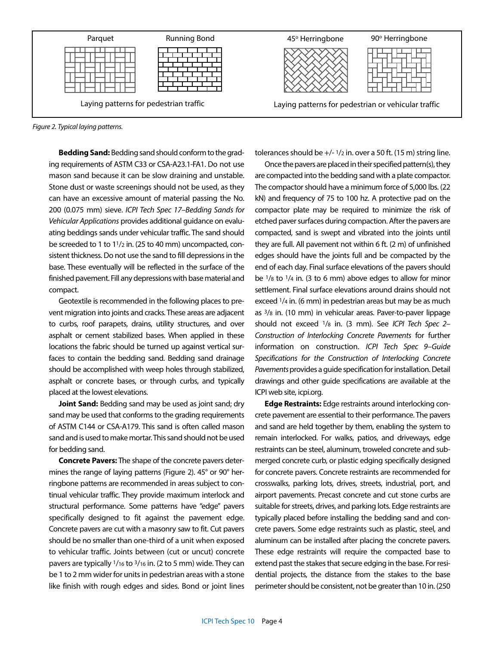



**Bedding Sand:** Bedding sand should conform to the grading requirements of ASTM C33 or CSA-A23.1-FA1. Do not use mason sand because it can be slow draining and unstable. Stone dust or waste screenings should not be used, as they can have an excessive amount of material passing the No. 200 (0.075 mm) sieve. *ICPI Tech Spec 17–Bedding Sands for Vehicular Applications* provides additional guidance on evaluating beddings sands under vehicular traffic. The sand should be screeded to 1 to 11/2 in. (25 to 40 mm) uncompacted, consistent thickness. Do not use the sand to fill depressions in the base. These eventually will be reflected in the surface of the finished pavement. Fill any depressions with base material and compact.

Geotextile is recommended in the following places to prevent migration into joints and cracks. These areas are adjacent to curbs, roof parapets, drains, utility structures, and over asphalt or cement stabilized bases. When applied in these locations the fabric should be turned up against vertical surfaces to contain the bedding sand. Bedding sand drainage should be accomplished with weep holes through stabilized, asphalt or concrete bases, or through curbs, and typically placed at the lowest elevations.

**Joint Sand:** Bedding sand may be used as joint sand; dry sand may be used that conforms to the grading requirements of ASTM C144 or CSA-A179. This sand is often called mason sand and is used to make mortar. This sand should not be used for bedding sand.

**Concrete Pavers:** The shape of the concrete pavers determines the range of laying patterns (Figure 2). 45° or 90° herringbone patterns are recommended in areas subject to continual vehicular traffic. They provide maximum interlock and structural performance. Some patterns have "edge" pavers specifically designed to fit against the pavement edge. Concrete pavers are cut with a masonry saw to fit. Cut pavers should be no smaller than one-third of a unit when exposed to vehicular traffic. Joints between (cut or uncut) concrete pavers are typically 1/16 to 3/16 in. (2 to 5 mm) wide. They can be 1 to 2 mm wider for units in pedestrian areas with a stone like finish with rough edges and sides. Bond or joint lines tolerances should be  $+/-1/2$  in. over a 50 ft. (15 m) string line.

Once the pavers are placed in their specified pattern(s), they are compacted into the bedding sand with a plate compactor. The compactor should have a minimum force of 5,000 lbs. (22 kN) and frequency of 75 to 100 hz. A protective pad on the compactor plate may be required to minimize the risk of etched paver surfaces during compaction. After the pavers are compacted, sand is swept and vibrated into the joints until they are full. All pavement not within 6 ft. (2 m) of unfinished edges should have the joints full and be compacted by the end of each day. Final surface elevations of the pavers should be 1/8 to 1/4 in. (3 to 6 mm) above edges to allow for minor settlement. Final surface elevations around drains should not exceed 1/4 in. (6 mm) in pedestrian areas but may be as much as 3/8 in. (10 mm) in vehicular areas. Paver-to-paver lippage should not exceed 1/8 in. (3 mm). See *ICPI Tech Spec 2– Construction of Interlocking Concrete Pavements* for further information on construction. *ICPI Tech Spec 9–Guide Specifications for the Construction of Interlocking Concrete Pavements* provides a guide specification for installation. Detail drawings and other guide specifications are available at the ICPI web site, icpi.org.

**Edge Restraints:** Edge restraints around interlocking concrete pavement are essential to their performance. The pavers and sand are held together by them, enabling the system to remain interlocked. For walks, patios, and driveways, edge restraints can be steel, aluminum, troweled concrete and submerged concrete curb, or plastic edging specifically designed for concrete pavers. Concrete restraints are recommended for crosswalks, parking lots, drives, streets, industrial, port, and airport pavements. Precast concrete and cut stone curbs are suitable for streets, drives, and parking lots. Edge restraints are typically placed before installing the bedding sand and concrete pavers. Some edge restraints such as plastic, steel, and aluminum can be installed after placing the concrete pavers. These edge restraints will require the compacted base to extend past the stakes that secure edging in the base. For residential projects, the distance from the stakes to the base perimeter should be consistent, not be greater than 10 in. (250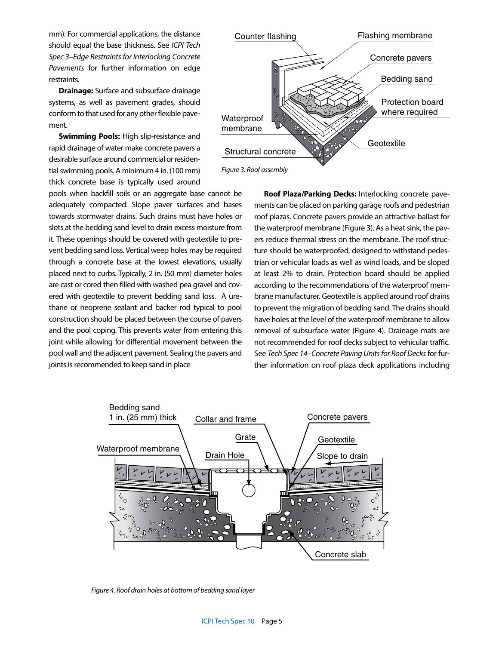mm). For commercial applications, the distance should equal the base thickness. See *ICPI Tech Spec 3–Edge Restraints for Interlocking Concrete Pavements* for further information on edge restraints.

**Drainage:** Surface and subsurface drainage systems, as well as pavement grades, should conform to that used for any other flexible pavement.

**Swimming Pools:** High slip-resistance and rapid drainage of water make concrete pavers a desirable surface around commercial or residential swimming pools. A minimum 4 in. (100 mm) thick concrete base is typically used around

pools when backfill soils or an aggregate base cannot be adequately compacted. Slope paver surfaces and bases towards stormwater drains. Such drains must have holes or slots at the bedding sand level to drain excess moisture from it. These openings should be covered with geotextile to prevent bedding sand loss. Vertical weep holes may be required through a concrete base at the lowest elevations, usually placed next to curbs. Typically, 2 in. (50 mm) diameter holes are cast or cored then filled with washed pea gravel and covered with geotextile to prevent bedding sand loss. A urethane or neoprene sealant and backer rod typical to pool construction should be placed between the course of pavers and the pool coping. This prevents water from entering this joint while allowing for differential movement between the pool wall and the adjacent pavement. Sealing the pavers and joints is recommended to keep sand in place



**Roof Plaza/Parking Decks:** Interlocking concrete pavements can be placed on parking garage roofs and pedestrian roof plazas. Concrete pavers provide an attractive ballast for the waterproof membrane (Figure 3). As a heat sink, the pavers reduce thermal stress on the membrane. The roof structure should be waterproofed, designed to withstand pedestrian or vehicular loads as well as wind loads, and be sloped at least 2% to drain. Protection board should be applied according to the recommendations of the waterproof membrane manufacturer. Geotextile is applied around roof drains to prevent the migration of bedding sand. The drains should have holes at the level of the waterproof membrane to allow removal of subsurface water (Figure 4). Drainage mats are not recommended for roof decks subject to vehicular traffic. See *Tech Spec 14–Concrete Paving Units for Roof Decks* for further information on roof plaza deck applications including



*Figure 4. Roof drain holes at bottom of bedding sand layer*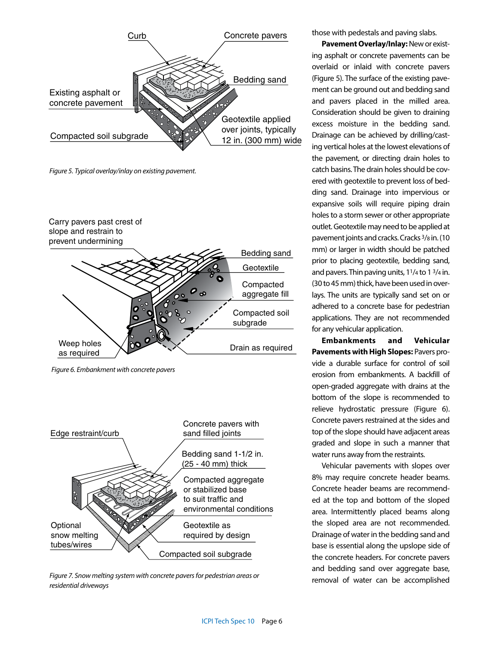

*Figure 5. Typical overlay/inlay on existing pavement.*



*Figure 6. Embankment with concrete pavers*



*Figure 7. Snow melting system with concrete pavers for pedestrian areas or residential driveways*

those with pedestals and paving slabs.

**Pavement Overlay/Inlay:** New or existing asphalt or concrete pavements can be overlaid or inlaid with concrete pavers (Figure 5). The surface of the existing pavement can be ground out and bedding sand and pavers placed in the milled area. Consideration should be given to draining excess moisture in the bedding sand. Drainage can be achieved by drilling/casting vertical holes at the lowest elevations of the pavement, or directing drain holes to catch basins. The drain holes should be covered with geotextile to prevent loss of bedding sand. Drainage into impervious or expansive soils will require piping drain holes to a storm sewer or other appropriate outlet. Geotextile may need to be applied at pavement joints and cracks. Cracks 3/8 in. (10 mm) or larger in width should be patched prior to placing geotextile, bedding sand, and pavers. Thin paving units,  $11/4$  to  $13/4$  in. (30 to 45 mm) thick, have been used in overlays. The units are typically sand set on or adhered to a concrete base for pedestrian applications. They are not recommended for any vehicular application.

**Embankments and Vehicular Pavements with High Slopes:** Pavers provide a durable surface for control of soil erosion from embankments. A backfill of open-graded aggregate with drains at the bottom of the slope is recommended to relieve hydrostatic pressure (Figure 6). Concrete pavers restrained at the sides and top of the slope should have adjacent areas graded and slope in such a manner that water runs away from the restraints.

Vehicular pavements with slopes over 8% may require concrete header beams. Concrete header beams are recommended at the top and bottom of the sloped area. Intermittently placed beams along the sloped area are not recommended. Drainage of water in the bedding sand and base is essential along the upslope side of the concrete headers. For concrete pavers and bedding sand over aggregate base, removal of water can be accomplished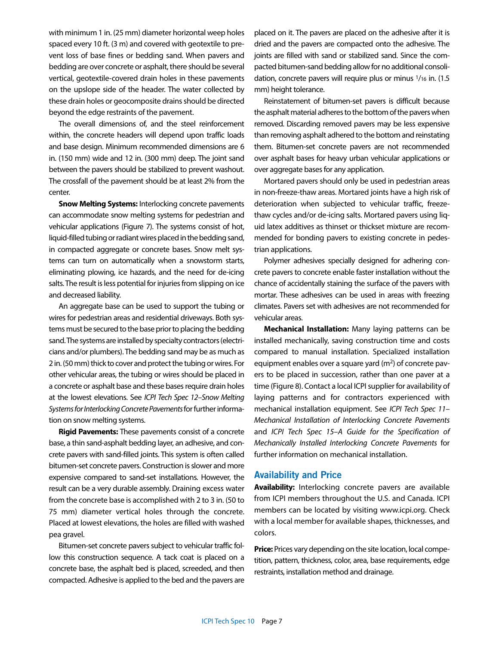with minimum 1 in. (25 mm) diameter horizontal weep holes spaced every 10 ft. (3 m) and covered with geotextile to prevent loss of base fines or bedding sand. When pavers and bedding are over concrete or asphalt, there should be several vertical, geotextile-covered drain holes in these pavements on the upslope side of the header. The water collected by these drain holes or geocomposite drains should be directed beyond the edge restraints of the pavement.

The overall dimensions of, and the steel reinforcement within, the concrete headers will depend upon traffic loads and base design. Minimum recommended dimensions are 6 in. (150 mm) wide and 12 in. (300 mm) deep. The joint sand between the pavers should be stabilized to prevent washout. The crossfall of the pavement should be at least 2% from the center.

**Snow Melting Systems:** Interlocking concrete pavements can accommodate snow melting systems for pedestrian and vehicular applications (Figure 7). The systems consist of hot, liquid-filled tubing or radiant wires placed in the bedding sand, in compacted aggregate or concrete bases. Snow melt systems can turn on automatically when a snowstorm starts, eliminating plowing, ice hazards, and the need for de-icing salts. The result is less potential for injuries from slipping on ice and decreased liability.

An aggregate base can be used to support the tubing or wires for pedestrian areas and residential driveways. Both systems must be secured to the base prior to placing the bedding sand. The systems are installed by specialty contractors (electricians and/or plumbers). The bedding sand may be as much as 2 in. (50 mm) thick to cover and protect the tubing or wires. For other vehicular areas, the tubing or wires should be placed in a concrete or asphalt base and these bases require drain holes at the lowest elevations. See *ICPI Tech Spec 12–Snow Melting Systems for Interlocking Concrete Pavements* for further information on snow melting systems.

**Rigid Pavements:** These pavements consist of a concrete base, a thin sand-asphalt bedding layer, an adhesive, and concrete pavers with sand-filled joints. This system is often called bitumen-set concrete pavers. Construction is slower and more expensive compared to sand-set installations. However, the result can be a very durable assembly. Draining excess water from the concrete base is accomplished with 2 to 3 in. (50 to 75 mm) diameter vertical holes through the concrete. Placed at lowest elevations, the holes are filled with washed pea gravel.

Bitumen-set concrete pavers subject to vehicular traffic follow this construction sequence. A tack coat is placed on a concrete base, the asphalt bed is placed, screeded, and then compacted. Adhesive is applied to the bed and the pavers are placed on it. The pavers are placed on the adhesive after it is dried and the pavers are compacted onto the adhesive. The joints are filled with sand or stabilized sand. Since the compacted bitumen-sand bedding allow for no additional consolidation, concrete pavers will require plus or minus 1/16 in. (1.5 mm) height tolerance.

Reinstatement of bitumen-set pavers is difficult because the asphalt material adheres to the bottom of the pavers when removed. Discarding removed pavers may be less expensive than removing asphalt adhered to the bottom and reinstating them. Bitumen-set concrete pavers are not recommended over asphalt bases for heavy urban vehicular applications or over aggregate bases for any application.

Mortared pavers should only be used in pedestrian areas in non-freeze-thaw areas. Mortared joints have a high risk of deterioration when subjected to vehicular traffic, freezethaw cycles and/or de-icing salts. Mortared pavers using liquid latex additives as thinset or thickset mixture are recommended for bonding pavers to existing concrete in pedestrian applications.

Polymer adhesives specially designed for adhering concrete pavers to concrete enable faster installation without the chance of accidentally staining the surface of the pavers with mortar. These adhesives can be used in areas with freezing climates. Pavers set with adhesives are not recommended for vehicular areas.

**Mechanical Installation:** Many laying patterns can be installed mechanically, saving construction time and costs compared to manual installation. Specialized installation equipment enables over a square yard  $(m<sup>2</sup>)$  of concrete pavers to be placed in succession, rather than one paver at a time (Figure 8). Contact a local ICPI supplier for availability of laying patterns and for contractors experienced with mechanical installation equipment. See *ICPI Tech Spec 11– Mechanical Installation of Interlocking Concrete Pavements*  and *ICPI Tech Spec 15–A Guide for the Specification of Mechanically Installed Interlocking Concrete Pavements* for further information on mechanical installation.

#### **Availability and Price**

**Availability:** Interlocking concrete pavers are available from ICPI members throughout the U.S. and Canada. ICPI members can be located by visiting www.icpi.org. Check with a local member for available shapes, thicknesses, and colors.

**Price:** Prices vary depending on the site location, local competition, pattern, thickness, color, area, base requirements, edge restraints, installation method and drainage.